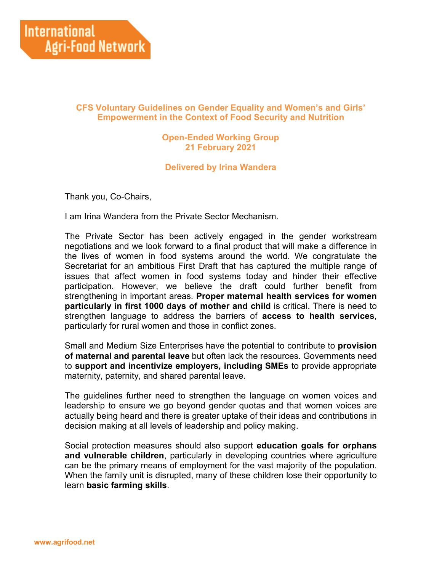## **CFS Voluntary Guidelines on Gender Equality and Women's and Girls' Empowerment in the Context of Food Security and Nutrition**

## **Open-Ended Working Group 21 February 2021**

## **Delivered by Irina Wandera**

Thank you, Co-Chairs,

I am Irina Wandera from the Private Sector Mechanism.

The Private Sector has been actively engaged in the gender workstream negotiations and we look forward to a final product that will make a difference in the lives of women in food systems around the world. We congratulate the Secretariat for an ambitious First Draft that has captured the multiple range of issues that affect women in food systems today and hinder their effective participation. However, we believe the draft could further benefit from strengthening in important areas. **Proper maternal health services for women particularly in first 1000 days of mother and child** is critical. There is need to strengthen language to address the barriers of **access to health services**, particularly for rural women and those in conflict zones.

Small and Medium Size Enterprises have the potential to contribute to **provision of maternal and parental leave** but often lack the resources. Governments need to **support and incentivize employers, including SMEs** to provide appropriate maternity, paternity, and shared parental leave.

The guidelines further need to strengthen the language on women voices and leadership to ensure we go beyond gender quotas and that women voices are actually being heard and there is greater uptake of their ideas and contributions in decision making at all levels of leadership and policy making.

Social protection measures should also support **education goals for orphans and vulnerable children**, particularly in developing countries where agriculture can be the primary means of employment for the vast majority of the population. When the family unit is disrupted, many of these children lose their opportunity to learn **basic farming skills**.